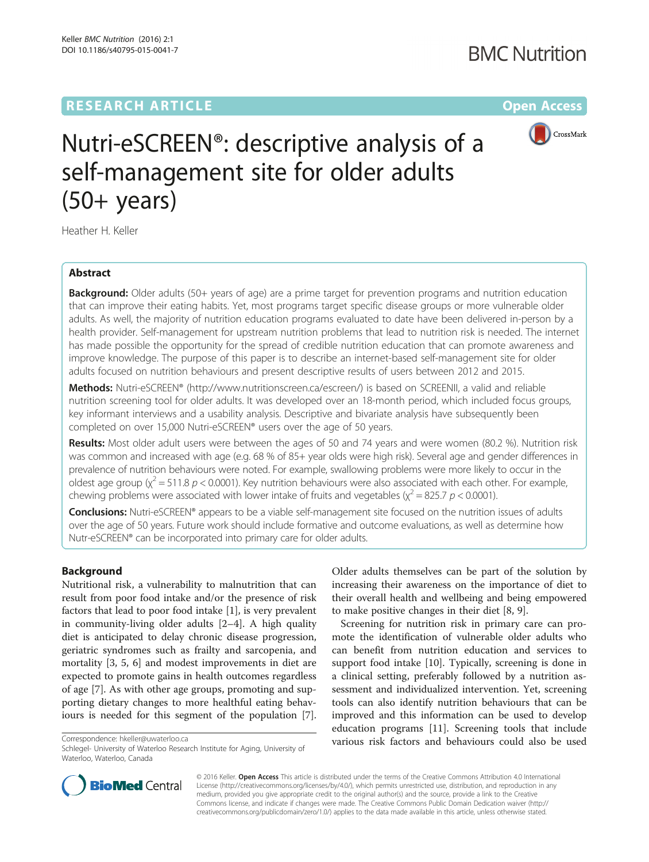## **RESEARCH ARTICLE External Structure Community Community Community Community Community Community Community Community**



# Nutri-eSCREEN®: descriptive analysis of a self-management site for older adults (50+ years)

Heather H. Keller

#### Abstract

**Background:** Older adults (50+ years of age) are a prime target for prevention programs and nutrition education that can improve their eating habits. Yet, most programs target specific disease groups or more vulnerable older adults. As well, the majority of nutrition education programs evaluated to date have been delivered in-person by a health provider. Self-management for upstream nutrition problems that lead to nutrition risk is needed. The internet has made possible the opportunity for the spread of credible nutrition education that can promote awareness and improve knowledge. The purpose of this paper is to describe an internet-based self-management site for older adults focused on nutrition behaviours and present descriptive results of users between 2012 and 2015.

Methods: Nutri-eSCREEN® ([http://www.nutritionscreen.ca/escreen/\)](http://www.nutritionscreen.ca/escreen/) is based on SCREENII, a valid and reliable nutrition screening tool for older adults. It was developed over an 18-month period, which included focus groups, key informant interviews and a usability analysis. Descriptive and bivariate analysis have subsequently been completed on over 15,000 Nutri-eSCREEN® users over the age of 50 years.

Results: Most older adult users were between the ages of 50 and 74 years and were women (80.2 %). Nutrition risk was common and increased with age (e.g. 68 % of 85+ year olds were high risk). Several age and gender differences in prevalence of nutrition behaviours were noted. For example, swallowing problems were more likely to occur in the oldest age group ( $\chi^2$  = 511.8 p < 0.0001). Key nutrition behaviours were also associated with each other. For example, chewing problems were associated with lower intake of fruits and vegetables ( $\chi^2$  = 825.7 p < 0.0001).

Conclusions: Nutri-eSCREEN® appears to be a viable self-management site focused on the nutrition issues of adults over the age of 50 years. Future work should include formative and outcome evaluations, as well as determine how Nutr-eSCREEN® can be incorporated into primary care for older adults.

#### Background

Nutritional risk, a vulnerability to malnutrition that can result from poor food intake and/or the presence of risk factors that lead to poor food intake [[1](#page-8-0)], is very prevalent in community-living older adults [[2](#page-8-0)–[4](#page-8-0)]. A high quality diet is anticipated to delay chronic disease progression, geriatric syndromes such as frailty and sarcopenia, and mortality [[3, 5](#page-8-0), [6\]](#page-8-0) and modest improvements in diet are expected to promote gains in health outcomes regardless of age [\[7](#page-8-0)]. As with other age groups, promoting and supporting dietary changes to more healthful eating behaviours is needed for this segment of the population [\[7](#page-8-0)].

Older adults themselves can be part of the solution by increasing their awareness on the importance of diet to their overall health and wellbeing and being empowered to make positive changes in their diet [[8, 9\]](#page-8-0).

Screening for nutrition risk in primary care can promote the identification of vulnerable older adults who can benefit from nutrition education and services to support food intake [\[10](#page-8-0)]. Typically, screening is done in a clinical setting, preferably followed by a nutrition assessment and individualized intervention. Yet, screening tools can also identify nutrition behaviours that can be improved and this information can be used to develop education programs [[11\]](#page-8-0). Screening tools that include various risk factors and behaviours could also be used Correspondence: [hkeller@uwaterloo.ca](mailto:hkeller@uwaterloo.ca)



© 2016 Keller. Open Access This article is distributed under the terms of the Creative Commons Attribution 4.0 International License ([http://creativecommons.org/licenses/by/4.0/\)](http://creativecommons.org/licenses/by/4.0/), which permits unrestricted use, distribution, and reproduction in any medium, provided you give appropriate credit to the original author(s) and the source, provide a link to the Creative Commons license, and indicate if changes were made. The Creative Commons Public Domain Dedication waiver ([http://](http://creativecommons.org/publicdomain/zero/1.0/) [creativecommons.org/publicdomain/zero/1.0/\)](http://creativecommons.org/publicdomain/zero/1.0/) applies to the data made available in this article, unless otherwise stated.

Schlegel- University of Waterloo Research Institute for Aging, University of Waterloo, Waterloo, Canada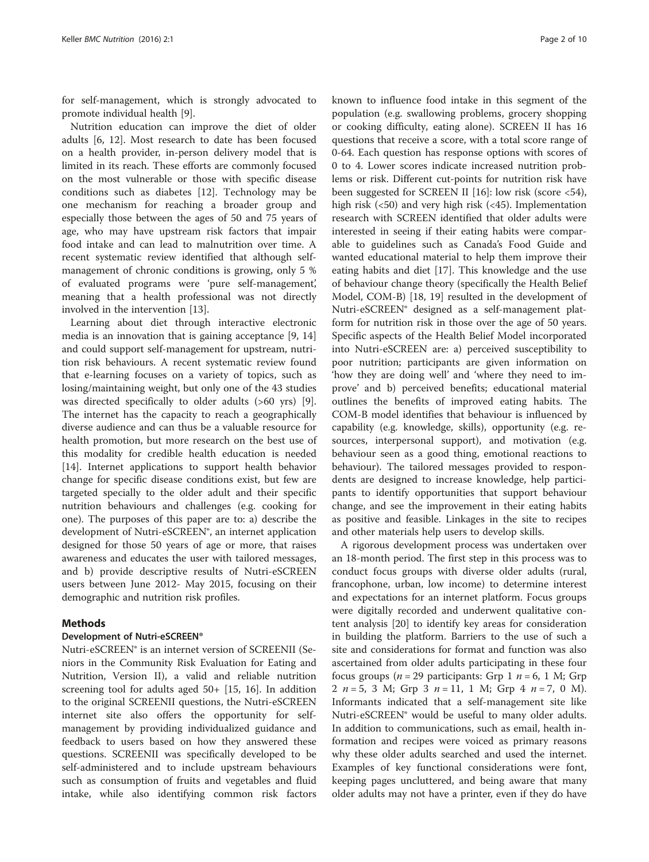for self-management, which is strongly advocated to promote individual health [\[9\]](#page-8-0).

Nutrition education can improve the diet of older adults [[6, 12\]](#page-8-0). Most research to date has been focused on a health provider, in-person delivery model that is limited in its reach. These efforts are commonly focused on the most vulnerable or those with specific disease conditions such as diabetes [[12](#page-8-0)]. Technology may be one mechanism for reaching a broader group and especially those between the ages of 50 and 75 years of age, who may have upstream risk factors that impair food intake and can lead to malnutrition over time. A recent systematic review identified that although selfmanagement of chronic conditions is growing, only 5 % of evaluated programs were 'pure self-management', meaning that a health professional was not directly involved in the intervention [[13\]](#page-8-0).

Learning about diet through interactive electronic media is an innovation that is gaining acceptance [\[9](#page-8-0), [14](#page-8-0)] and could support self-management for upstream, nutrition risk behaviours. A recent systematic review found that e-learning focuses on a variety of topics, such as losing/maintaining weight, but only one of the 43 studies was directed specifically to older adults (>60 yrs) [\[9](#page-8-0)]. The internet has the capacity to reach a geographically diverse audience and can thus be a valuable resource for health promotion, but more research on the best use of this modality for credible health education is needed [[14\]](#page-8-0). Internet applications to support health behavior change for specific disease conditions exist, but few are targeted specially to the older adult and their specific nutrition behaviours and challenges (e.g. cooking for one). The purposes of this paper are to: a) describe the development of Nutri-eSCREEN®, an internet application designed for those 50 years of age or more, that raises awareness and educates the user with tailored messages, and b) provide descriptive results of Nutri-eSCREEN users between June 2012- May 2015, focusing on their demographic and nutrition risk profiles.

#### Methods

#### Development of Nutri-eSCREEN®

Nutri-eSCREEN® is an internet version of SCREENII (Seniors in the Community Risk Evaluation for Eating and Nutrition, Version II), a valid and reliable nutrition screening tool for adults aged 50+ [\[15, 16\]](#page-8-0). In addition to the original SCREENII questions, the Nutri-eSCREEN internet site also offers the opportunity for selfmanagement by providing individualized guidance and feedback to users based on how they answered these questions. SCREENII was specifically developed to be self-administered and to include upstream behaviours such as consumption of fruits and vegetables and fluid intake, while also identifying common risk factors

known to influence food intake in this segment of the population (e.g. swallowing problems, grocery shopping or cooking difficulty, eating alone). SCREEN II has 16 questions that receive a score, with a total score range of 0-64. Each question has response options with scores of 0 to 4. Lower scores indicate increased nutrition problems or risk. Different cut-points for nutrition risk have been suggested for SCREEN II [[16](#page-8-0)]: low risk (score <54), high risk  $(<50)$  and very high risk  $(<45)$ . Implementation research with SCREEN identified that older adults were interested in seeing if their eating habits were comparable to guidelines such as Canada's Food Guide and wanted educational material to help them improve their eating habits and diet [[17\]](#page-8-0). This knowledge and the use of behaviour change theory (specifically the Health Belief Model, COM-B) [\[18, 19](#page-8-0)] resulted in the development of Nutri-eSCREEN® designed as a self-management platform for nutrition risk in those over the age of 50 years. Specific aspects of the Health Belief Model incorporated into Nutri-eSCREEN are: a) perceived susceptibility to poor nutrition; participants are given information on 'how they are doing well' and 'where they need to improve' and b) perceived benefits; educational material outlines the benefits of improved eating habits. The COM-B model identifies that behaviour is influenced by capability (e.g. knowledge, skills), opportunity (e.g. resources, interpersonal support), and motivation (e.g. behaviour seen as a good thing, emotional reactions to behaviour). The tailored messages provided to respondents are designed to increase knowledge, help participants to identify opportunities that support behaviour change, and see the improvement in their eating habits as positive and feasible. Linkages in the site to recipes and other materials help users to develop skills.

A rigorous development process was undertaken over an 18-month period. The first step in this process was to conduct focus groups with diverse older adults (rural, francophone, urban, low income) to determine interest and expectations for an internet platform. Focus groups were digitally recorded and underwent qualitative content analysis [[20\]](#page-8-0) to identify key areas for consideration in building the platform. Barriers to the use of such a site and considerations for format and function was also ascertained from older adults participating in these four focus groups ( $n = 29$  participants: Grp 1  $n = 6$ , 1 M; Grp 2  $n = 5$ , 3 M; Grp 3  $n = 11$ , 1 M; Grp 4  $n = 7$ , 0 M). Informants indicated that a self-management site like Nutri-eSCREEN® would be useful to many older adults. In addition to communications, such as email, health information and recipes were voiced as primary reasons why these older adults searched and used the internet. Examples of key functional considerations were font, keeping pages uncluttered, and being aware that many older adults may not have a printer, even if they do have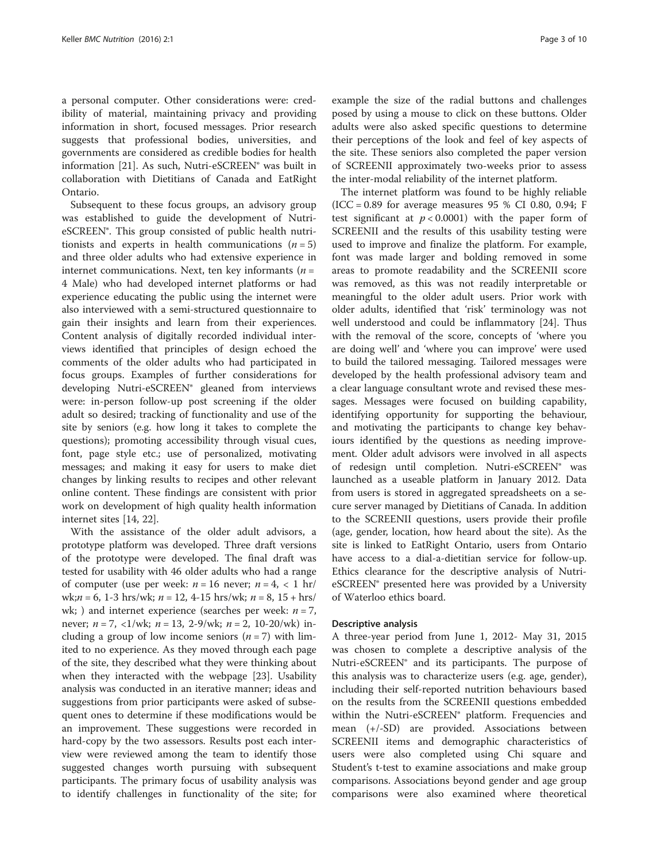a personal computer. Other considerations were: credibility of material, maintaining privacy and providing information in short, focused messages. Prior research suggests that professional bodies, universities, and governments are considered as credible bodies for health information [[21\]](#page-8-0). As such, Nutri-eSCREEN® was built in collaboration with Dietitians of Canada and EatRight Ontario.

Subsequent to these focus groups, an advisory group was established to guide the development of NutrieSCREEN®. This group consisted of public health nutritionists and experts in health communications  $(n = 5)$ and three older adults who had extensive experience in internet communications. Next, ten key informants ( $n =$ 4 Male) who had developed internet platforms or had experience educating the public using the internet were also interviewed with a semi-structured questionnaire to gain their insights and learn from their experiences. Content analysis of digitally recorded individual interviews identified that principles of design echoed the comments of the older adults who had participated in focus groups. Examples of further considerations for developing Nutri-eSCREEN® gleaned from interviews were: in-person follow-up post screening if the older adult so desired; tracking of functionality and use of the site by seniors (e.g. how long it takes to complete the questions); promoting accessibility through visual cues, font, page style etc.; use of personalized, motivating messages; and making it easy for users to make diet changes by linking results to recipes and other relevant online content. These findings are consistent with prior work on development of high quality health information internet sites [[14, 22](#page-8-0)].

With the assistance of the older adult advisors, a prototype platform was developed. Three draft versions of the prototype were developed. The final draft was tested for usability with 46 older adults who had a range of computer (use per week:  $n = 16$  never;  $n = 4, < 1$  hr/ wk; $n = 6$ , 1-3 hrs/wk;  $n = 12$ , 4-15 hrs/wk;  $n = 8$ , 15 + hrs/ wk; ) and internet experience (searches per week:  $n = 7$ , never;  $n = 7$ , <1/wk;  $n = 13$ , 2-9/wk;  $n = 2$ , 10-20/wk) including a group of low income seniors  $(n = 7)$  with limited to no experience. As they moved through each page of the site, they described what they were thinking about when they interacted with the webpage [[23\]](#page-8-0). Usability analysis was conducted in an iterative manner; ideas and suggestions from prior participants were asked of subsequent ones to determine if these modifications would be an improvement. These suggestions were recorded in hard-copy by the two assessors. Results post each interview were reviewed among the team to identify those suggested changes worth pursuing with subsequent participants. The primary focus of usability analysis was to identify challenges in functionality of the site; for

example the size of the radial buttons and challenges posed by using a mouse to click on these buttons. Older adults were also asked specific questions to determine their perceptions of the look and feel of key aspects of the site. These seniors also completed the paper version of SCREENII approximately two-weeks prior to assess the inter-modal reliability of the internet platform.

The internet platform was found to be highly reliable  $(ICC = 0.89$  for average measures 95 % CI 0.80, 0.94; F test significant at  $p < 0.0001$ ) with the paper form of SCREENII and the results of this usability testing were used to improve and finalize the platform. For example, font was made larger and bolding removed in some areas to promote readability and the SCREENII score was removed, as this was not readily interpretable or meaningful to the older adult users. Prior work with older adults, identified that 'risk' terminology was not well understood and could be inflammatory [\[24](#page-8-0)]. Thus with the removal of the score, concepts of 'where you are doing well' and 'where you can improve' were used to build the tailored messaging. Tailored messages were developed by the health professional advisory team and a clear language consultant wrote and revised these messages. Messages were focused on building capability, identifying opportunity for supporting the behaviour, and motivating the participants to change key behaviours identified by the questions as needing improvement. Older adult advisors were involved in all aspects of redesign until completion. Nutri-eSCREEN® was launched as a useable platform in January 2012. Data from users is stored in aggregated spreadsheets on a secure server managed by Dietitians of Canada. In addition to the SCREENII questions, users provide their profile (age, gender, location, how heard about the site). As the site is linked to EatRight Ontario, users from Ontario have access to a dial-a-dietitian service for follow-up. Ethics clearance for the descriptive analysis of NutrieSCREEN® presented here was provided by a University of Waterloo ethics board.

#### Descriptive analysis

A three-year period from June 1, 2012- May 31, 2015 was chosen to complete a descriptive analysis of the Nutri-eSCREEN® and its participants. The purpose of this analysis was to characterize users (e.g. age, gender), including their self-reported nutrition behaviours based on the results from the SCREENII questions embedded within the Nutri-eSCREEN<sup>®</sup> platform. Frequencies and mean (+/-SD) are provided. Associations between SCREENII items and demographic characteristics of users were also completed using Chi square and Student's t-test to examine associations and make group comparisons. Associations beyond gender and age group comparisons were also examined where theoretical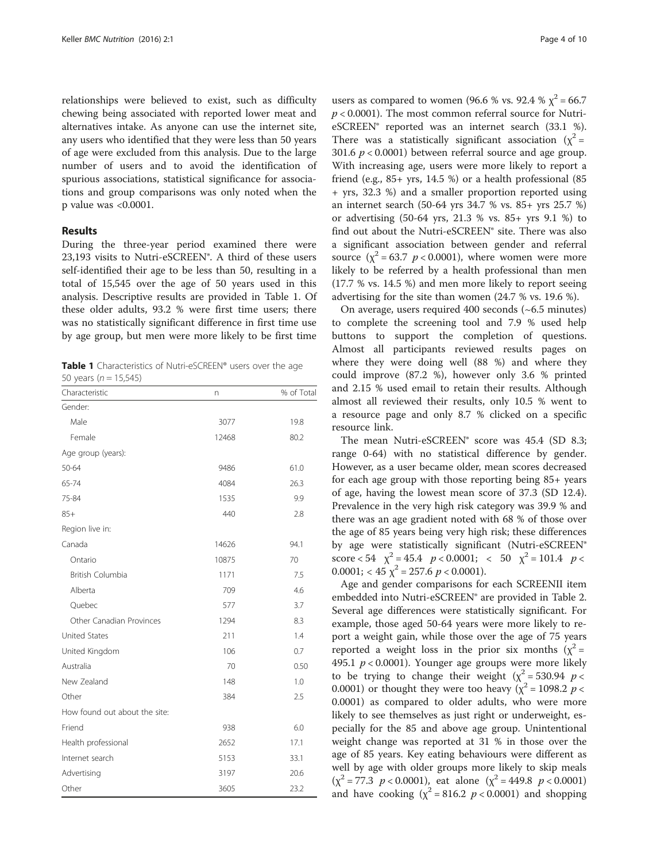relationships were believed to exist, such as difficulty chewing being associated with reported lower meat and alternatives intake. As anyone can use the internet site, any users who identified that they were less than 50 years of age were excluded from this analysis. Due to the large number of users and to avoid the identification of spurious associations, statistical significance for associations and group comparisons was only noted when the p value was <0.0001.

#### Results

During the three-year period examined there were 23,193 visits to Nutri-eSCREEN®. A third of these users self-identified their age to be less than 50, resulting in a total of 15,545 over the age of 50 years used in this analysis. Descriptive results are provided in Table 1. Of these older adults, 93.2 % were first time users; there was no statistically significant difference in first time use by age group, but men were more likely to be first time

Table 1 Characteristics of Nutri-eSCREEN® users over the age 50 years ( $n = 15,545$ )

| Characteristic                | n     | % of Total |
|-------------------------------|-------|------------|
| Gender:                       |       |            |
| Male                          | 3077  | 19.8       |
| Female                        | 12468 | 80.2       |
| Age group (years):            |       |            |
| 50-64                         | 9486  | 61.0       |
| 65-74                         | 4084  | 26.3       |
| 75-84                         | 1535  | 9.9        |
| $85+$                         | 440   | 2.8        |
| Region live in:               |       |            |
| Canada                        | 14626 | 94.1       |
| Ontario                       | 10875 | 70         |
| <b>British Columbia</b>       | 1171  | 7.5        |
| Alberta                       | 709   | 4.6        |
| Quebec                        | 577   | 3.7        |
| Other Canadian Provinces      | 1294  | 8.3        |
| <b>United States</b>          | 211   | 1.4        |
| United Kingdom                | 106   | 0.7        |
| Australia                     | 70    | 0.50       |
| New Zealand                   | 148   | 1.0        |
| Other                         | 384   | 2.5        |
| How found out about the site: |       |            |
| Friend                        | 938   | 6.0        |
| Health professional           | 2652  | 17.1       |
| Internet search               | 5153  | 33.1       |
| Advertising                   | 3197  | 20.6       |
| Other                         | 3605  | 23.2       |

users as compared to women (96.6 % vs. 92.4 %  $\chi^2$  = 66.7  $p < 0.0001$ ). The most common referral source for NutrieSCREEN® reported was an internet search (33.1 %). There was a statistically significant association ( $\chi^2$  = 301.6  $p < 0.0001$ ) between referral source and age group. With increasing age, users were more likely to report a friend (e.g., 85+ yrs, 14.5 %) or a health professional (85 + yrs, 32.3 %) and a smaller proportion reported using an internet search (50-64 yrs 34.7 % vs. 85+ yrs 25.7 %) or advertising (50-64 yrs, 21.3 % vs. 85+ yrs 9.1 %) to find out about the Nutri-eSCREEN® site. There was also a significant association between gender and referral source  $(\chi^2 = 63.7 \, p < 0.0001)$ , where women were more likely to be referred by a health professional than men (17.7 % vs. 14.5 %) and men more likely to report seeing advertising for the site than women (24.7 % vs. 19.6 %).

On average, users required 400 seconds (~6.5 minutes) to complete the screening tool and 7.9 % used help buttons to support the completion of questions. Almost all participants reviewed results pages on where they were doing well (88 %) and where they could improve (87.2 %), however only 3.6 % printed and 2.15 % used email to retain their results. Although almost all reviewed their results, only 10.5 % went to a resource page and only 8.7 % clicked on a specific resource link.

The mean Nutri-eSCREEN® score was 45.4 (SD 8.3; range 0-64) with no statistical difference by gender. However, as a user became older, mean scores decreased for each age group with those reporting being 85+ years of age, having the lowest mean score of 37.3 (SD 12.4). Prevalence in the very high risk category was 39.9 % and there was an age gradient noted with 68 % of those over the age of 85 years being very high risk; these differences by age were statistically significant (Nutri-eSCREEN® score < 54  $\chi^2$  = 45.4  $p$  < 0.0001; < 50  $\chi^2$  = 101.4  $p$  <  $0.0001$ ; < 45  $\chi^2$  = 257.6  $p$  < 0.0001).

Age and gender comparisons for each SCREENII item embedded into Nutri-eSCREEN® are provided in Table [2](#page-4-0). Several age differences were statistically significant. For example, those aged 50-64 years were more likely to report a weight gain, while those over the age of 75 years reported a weight loss in the prior six months  $(x^2 =$ 495.1  $p < 0.0001$ ). Younger age groups were more likely to be trying to change their weight ( $\chi^2$  = 530.94 *p* < 0.0001) or thought they were too heavy ( $\chi^2$  = 1098.2 p < 0.0001) as compared to older adults, who were more likely to see themselves as just right or underweight, especially for the 85 and above age group. Unintentional weight change was reported at 31 % in those over the age of 85 years. Key eating behaviours were different as well by age with older groups more likely to skip meals  $(\chi^2 = 77.3 \ p < 0.0001)$ , eat alone  $(\chi^2 = 449.8 \ p < 0.0001)$ and have cooking  $(\chi^2 = 816.2 \, p < 0.0001)$  and shopping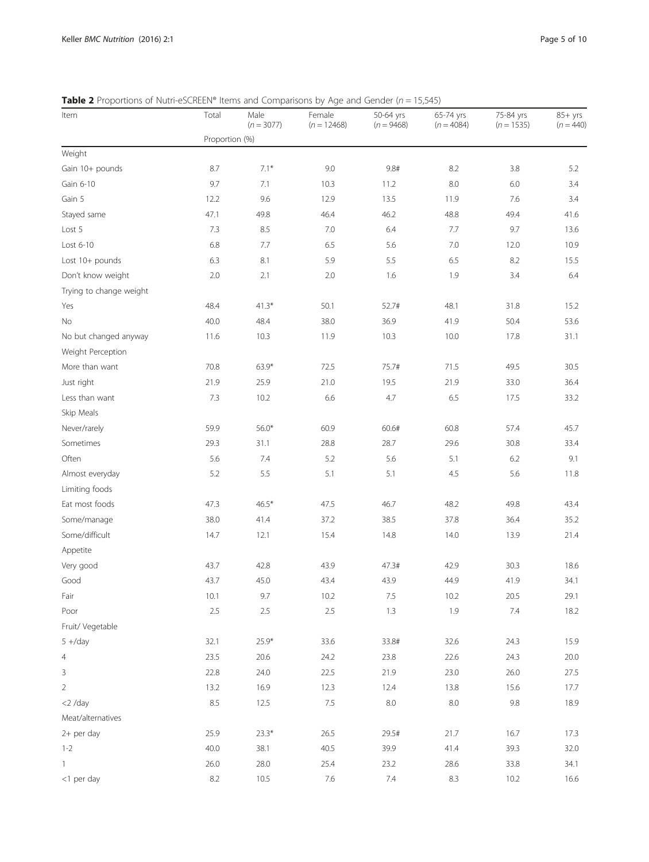<span id="page-4-0"></span>**Table 2** Proportions of Nutri-eSCREEN® Items and Comparisons by Age and Gender ( $n = 15,545$ )

| Item                    | Total          | ------------<br>Male<br>$(n = 3077)$ | ה הם שפי<br>Female<br>$(n = 12468)$ | 50-64 yrs<br>$(n = 9468)$ | 65-74 yrs<br>$(n = 4084)$ | 75-84 yrs<br>$(n = 1535)$ | $85+$ yrs<br>$(n = 440)$ |
|-------------------------|----------------|--------------------------------------|-------------------------------------|---------------------------|---------------------------|---------------------------|--------------------------|
|                         | Proportion (%) |                                      |                                     |                           |                           |                           |                          |
| Weight                  |                |                                      |                                     |                           |                           |                           |                          |
| Gain 10+ pounds         | 8.7            | $7.1*$                               | 9.0                                 | 9.8#                      | 8.2                       | 3.8                       | 5.2                      |
| Gain 6-10               | 9.7            | 7.1                                  | 10.3                                | 11.2                      | 8.0                       | 6.0                       | 3.4                      |
| Gain 5                  | 12.2           | 9.6                                  | 12.9                                | 13.5                      | 11.9                      | 7.6                       | 3.4                      |
| Stayed same             | 47.1           | 49.8                                 | 46.4                                | 46.2                      | 48.8                      | 49.4                      | 41.6                     |
| Lost 5                  | 7.3            | 8.5                                  | 7.0                                 | 6.4                       | 7.7                       | 9.7                       | 13.6                     |
| Lost 6-10               | 6.8            | 7.7                                  | 6.5                                 | 5.6                       | 7.0                       | 12.0                      | 10.9                     |
| Lost 10+ pounds         | 6.3            | 8.1                                  | 5.9                                 | 5.5                       | 6.5                       | 8.2                       | 15.5                     |
| Don't know weight       | 2.0            | 2.1                                  | 2.0                                 | 1.6                       | 1.9                       | 3.4                       | 6.4                      |
| Trying to change weight |                |                                      |                                     |                           |                           |                           |                          |
| Yes                     | 48.4           | $41.3*$                              | 50.1                                | 52.7#                     | 48.1                      | 31.8                      | 15.2                     |
| No                      | 40.0           | 48.4                                 | 38.0                                | 36.9                      | 41.9                      | 50.4                      | 53.6                     |
| No but changed anyway   | 11.6           | 10.3                                 | 11.9                                | 10.3                      | 10.0                      | 17.8                      | 31.1                     |
| Weight Perception       |                |                                      |                                     |                           |                           |                           |                          |
| More than want          | 70.8           | $63.9*$                              | 72.5                                | 75.7#                     | 71.5                      | 49.5                      | 30.5                     |
| Just right              | 21.9           | 25.9                                 | 21.0                                | 19.5                      | 21.9                      | 33.0                      | 36.4                     |
| Less than want          | 7.3            | 10.2                                 | 6.6                                 | 4.7                       | 6.5                       | 17.5                      | 33.2                     |
| Skip Meals              |                |                                      |                                     |                           |                           |                           |                          |
| Never/rarely            | 59.9           | $56.0*$                              | 60.9                                | 60.6#                     | 60.8                      | 57.4                      | 45.7                     |
| Sometimes               | 29.3           | 31.1                                 | 28.8                                | 28.7                      | 29.6                      | 30.8                      | 33.4                     |
| Often                   | 5.6            | 7.4                                  | 5.2                                 | 5.6                       | 5.1                       | 6.2                       | 9.1                      |
| Almost everyday         | 5.2            | 5.5                                  | 5.1                                 | 5.1                       | 4.5                       | 5.6                       | 11.8                     |
| Limiting foods          |                |                                      |                                     |                           |                           |                           |                          |
| Eat most foods          | 47.3           | $46.5*$                              | 47.5                                | 46.7                      | 48.2                      | 49.8                      | 43.4                     |
| Some/manage             | 38.0           | 41.4                                 | 37.2                                | 38.5                      | 37.8                      | 36.4                      | 35.2                     |
| Some/difficult          | 14.7           | 12.1                                 | 15.4                                | 14.8                      | 14.0                      | 13.9                      | 21.4                     |
| Appetite                |                |                                      |                                     |                           |                           |                           |                          |
| Very good               | 43.7           | 42.8                                 | 43.9                                | 47.3#                     | 42.9                      | 30.3                      | 18.6                     |
| Good                    | 43.7           | 45.0                                 | 43.4                                | 43.9                      | 44.9                      | 41.9                      | 34.1                     |
| Fair                    | 10.1           | 9.7                                  | 10.2                                | 7.5                       | 10.2                      | 20.5                      | 29.1                     |
| Poor                    | $2.5\,$        | $2.5\,$                              | 2.5                                 | 1.3                       | 1.9                       | 7.4                       | 18.2                     |
| Fruit/ Vegetable        |                |                                      |                                     |                           |                           |                           |                          |
| $5 +/day$               | 32.1           | $25.9*$                              | 33.6                                | 33.8#                     | 32.6                      | 24.3                      | 15.9                     |
| $\overline{4}$          | 23.5           | 20.6                                 | 24.2                                | 23.8                      | 22.6                      | 24.3                      | 20.0                     |
| $\mathsf 3$             | 22.8           | 24.0                                 | 22.5                                | 21.9                      | 23.0                      | 26.0                      | 27.5                     |
| $\overline{2}$          | 13.2           | 16.9                                 | 12.3                                | 12.4                      | 13.8                      | 15.6                      | 17.7                     |
| $<$ 2 /day              | 8.5            | 12.5                                 | 7.5                                 | $8.0\,$                   | $8.0\,$                   | 9.8                       | 18.9                     |
| Meat/alternatives       |                |                                      |                                     |                           |                           |                           |                          |
| 2+ per day              | 25.9           | $23.3*$                              | 26.5                                | 29.5#                     | 21.7                      | 16.7                      | 17.3                     |
| $1 - 2$                 | 40.0           | 38.1                                 | 40.5                                | 39.9                      | 41.4                      | 39.3                      | 32.0                     |
| 1                       | 26.0           | 28.0                                 | 25.4                                | 23.2                      | 28.6                      | 33.8                      | 34.1                     |
| <1 per day              | 8.2            | 10.5                                 | $7.6\,$                             | 7.4                       | 8.3                       | 10.2                      | 16.6                     |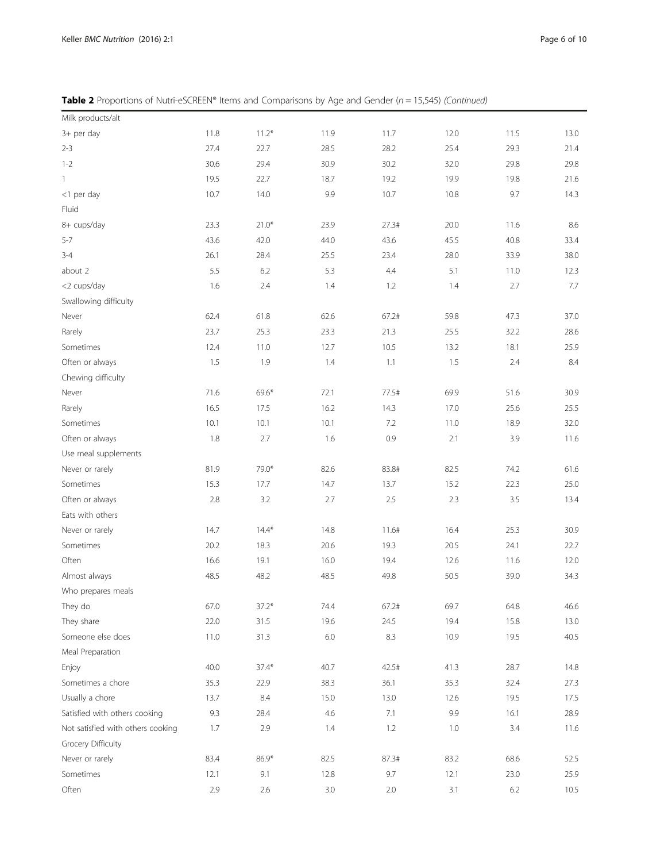**Table 2** Proportions of Nutri-eSCREEN® Items and Comparisons by Age and Gender ( $n = 15,545$ ) (Continued)

| Milk products/alt                 |      |         |         |         |         |         |      |
|-----------------------------------|------|---------|---------|---------|---------|---------|------|
| 3+ per day                        | 11.8 | $11.2*$ | 11.9    | 11.7    | 12.0    | 11.5    | 13.0 |
| $2 - 3$                           | 27.4 | 22.7    | 28.5    | 28.2    | 25.4    | 29.3    | 21.4 |
| $1 - 2$                           | 30.6 | 29.4    | 30.9    | 30.2    | 32.0    | 29.8    | 29.8 |
| 1                                 | 19.5 | 22.7    | 18.7    | 19.2    | 19.9    | 19.8    | 21.6 |
| <1 per day                        | 10.7 | 14.0    | 9.9     | 10.7    | 10.8    | 9.7     | 14.3 |
| Fluid                             |      |         |         |         |         |         |      |
| 8+ cups/day                       | 23.3 | $21.0*$ | 23.9    | 27.3#   | 20.0    | 11.6    | 8.6  |
| $5 - 7$                           | 43.6 | 42.0    | 44.0    | 43.6    | 45.5    | 40.8    | 33.4 |
| $3 - 4$                           | 26.1 | 28.4    | 25.5    | 23.4    | 28.0    | 33.9    | 38.0 |
| about 2                           | 5.5  | 6.2     | 5.3     | 4.4     | 5.1     | 11.0    | 12.3 |
| <2 cups/day                       | 1.6  | 2.4     | 1.4     | 1.2     | 1.4     | 2.7     | 7.7  |
| Swallowing difficulty             |      |         |         |         |         |         |      |
| Never                             | 62.4 | 61.8    | 62.6    | 67.2#   | 59.8    | 47.3    | 37.0 |
| Rarely                            | 23.7 | 25.3    | 23.3    | 21.3    | 25.5    | 32.2    | 28.6 |
| Sometimes                         | 12.4 | 11.0    | 12.7    | 10.5    | 13.2    | 18.1    | 25.9 |
| Often or always                   | 1.5  | 1.9     | 1.4     | 1.1     | 1.5     | 2.4     | 8.4  |
| Chewing difficulty                |      |         |         |         |         |         |      |
| Never                             | 71.6 | 69.6*   | 72.1    | 77.5#   | 69.9    | 51.6    | 30.9 |
| Rarely                            | 16.5 | 17.5    | 16.2    | 14.3    | 17.0    | 25.6    | 25.5 |
| Sometimes                         | 10.1 | 10.1    | 10.1    | 7.2     | 11.0    | 18.9    | 32.0 |
| Often or always                   | 1.8  | 2.7     | 1.6     | 0.9     | 2.1     | 3.9     | 11.6 |
| Use meal supplements              |      |         |         |         |         |         |      |
| Never or rarely                   | 81.9 | 79.0*   | 82.6    | 83.8#   | 82.5    | 74.2    | 61.6 |
| Sometimes                         | 15.3 | 17.7    | 14.7    | 13.7    | 15.2    | 22.3    | 25.0 |
| Often or always                   | 2.8  | 3.2     | 2.7     | 2.5     | 2.3     | 3.5     | 13.4 |
| Eats with others                  |      |         |         |         |         |         |      |
| Never or rarely                   | 14.7 | $14.4*$ | 14.8    | 11.6#   | 16.4    | 25.3    | 30.9 |
| Sometimes                         | 20.2 | 18.3    | 20.6    | 19.3    | 20.5    | 24.1    | 22.7 |
| Often                             | 16.6 | 19.1    | 16.0    | 19.4    | 12.6    | 11.6    | 12.0 |
| Almost always                     | 48.5 | 48.2    | 48.5    | 49.8    | 50.5    | 39.0    | 34.3 |
| Who prepares meals                |      |         |         |         |         |         |      |
| They do                           | 67.0 | $37.2*$ | 74.4    | 67.2#   | 69.7    | 64.8    | 46.6 |
| They share                        | 22.0 | 31.5    | 19.6    | 24.5    | 19.4    | 15.8    | 13.0 |
| Someone else does                 | 11.0 | 31.3    | 6.0     | 8.3     | 10.9    | 19.5    | 40.5 |
| Meal Preparation                  |      |         |         |         |         |         |      |
| Enjoy                             | 40.0 | $37.4*$ | 40.7    | 42.5#   | 41.3    | 28.7    | 14.8 |
| Sometimes a chore                 | 35.3 | 22.9    | 38.3    | 36.1    | 35.3    | 32.4    | 27.3 |
| Usually a chore                   | 13.7 | 8.4     | 15.0    | 13.0    | 12.6    | 19.5    | 17.5 |
| Satisfied with others cooking     | 9.3  | 28.4    | 4.6     | 7.1     | 9.9     | 16.1    | 28.9 |
| Not satisfied with others cooking | 1.7  | 2.9     | 1.4     | 1.2     | 1.0     | 3.4     | 11.6 |
| Grocery Difficulty                |      |         |         |         |         |         |      |
| Never or rarely                   | 83.4 | 86.9*   | 82.5    | 87.3#   | 83.2    | 68.6    | 52.5 |
| Sometimes                         | 12.1 | 9.1     | 12.8    | 9.7     | 12.1    | 23.0    | 25.9 |
| Often                             | 2.9  | 2.6     | $3.0\,$ | $2.0\,$ | $3.1\,$ | $6.2\,$ | 10.5 |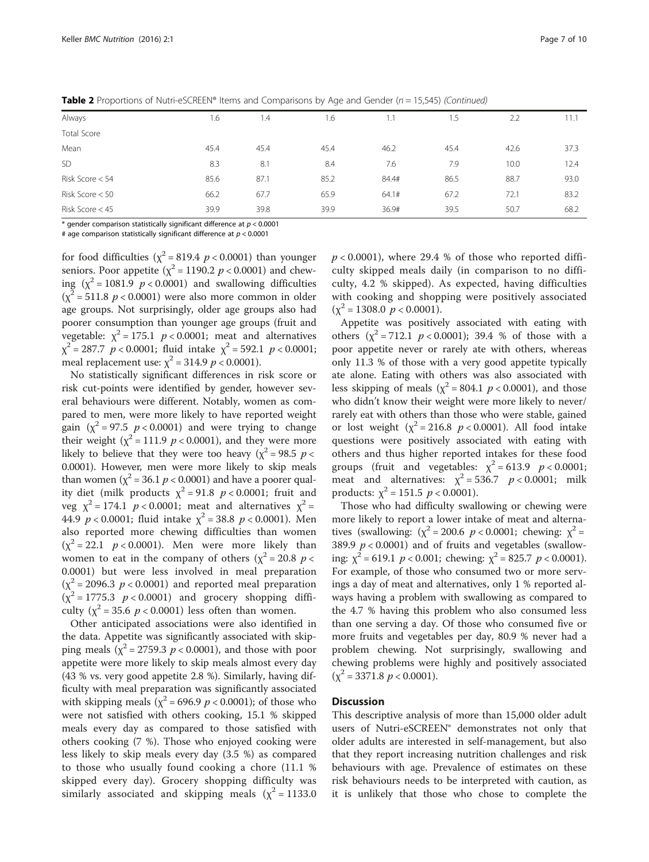| Always          | 1.6  | 1.4  | 1.6  |       | 1.5  | 2.2  | 11.1 |
|-----------------|------|------|------|-------|------|------|------|
| Total Score     |      |      |      |       |      |      |      |
| Mean            | 45.4 | 45.4 | 45.4 | 46.2  | 45.4 | 42.6 | 37.3 |
| SD              | 8.3  | 8.1  | 8.4  | 7.6   | 7.9  | 10.0 | 12.4 |
| Risk Score < 54 | 85.6 | 87.1 | 85.2 | 84.4# | 86.5 | 88.7 | 93.0 |
| Risk Score < 50 | 66.2 | 67.7 | 65.9 | 64.1# | 67.2 | 72.1 | 83.2 |
| Risk Score < 45 | 39.9 | 39.8 | 39.9 | 36.9# | 39.5 | 50.7 | 68.2 |

**Table 2** Proportions of Nutri-eSCREEN® Items and Comparisons by Age and Gender ( $n = 15,545$ ) (Continued)

\* gender comparison statistically significant difference at  $p < 0.0001$ 

# age comparison statistically significant difference at  $p < 0.0001$ 

for food difficulties ( $\chi^2$  = 819.4 *p* < 0.0001) than younger seniors. Poor appetite  $(\chi^2 = 1190.2 \ p < 0.0001)$  and chewing  $(\chi^2 = 1081.9 \ p < 0.0001)$  and swallowing difficulties  $(\chi^2 = 511.8 \ p < 0.0001)$  were also more common in older age groups. Not surprisingly, older age groups also had poorer consumption than younger age groups (fruit and vegetable:  $\chi^2 = 175.1$   $p < 0.0001$ ; meat and alternatives  $\chi^2$  = 287.7 p < 0.0001; fluid intake  $\chi^2$  = 592.1 p < 0.0001; meal replacement use:  $\chi^2$  = 314.9 *p* < 0.0001).

No statistically significant differences in risk score or risk cut-points were identified by gender, however several behaviours were different. Notably, women as compared to men, were more likely to have reported weight gain  $(\chi^2 = 97.5 \, p < 0.0001)$  and were trying to change their weight ( $\chi^2$  = 111.9 *p* < 0.0001), and they were more likely to believe that they were too heavy ( $\chi^2$  = 98.5 p < 0.0001). However, men were more likely to skip meals than women ( $\chi^2$  = 36.1 *p* < 0.0001) and have a poorer quality diet (milk products  $\chi^2$  = 91.8 *p* < 0.0001; fruit and veg  $\chi^2 = 174.1$   $p < 0.0001$ ; meat and alternatives  $\chi^2 =$ 44.9  $p < 0.0001$ ; fluid intake  $\chi^2 = 38.8$   $p < 0.0001$ ). Men also reported more chewing difficulties than women  $(\chi^2 = 22.1 \ p < 0.0001)$ . Men were more likely than women to eat in the company of others ( $\chi^2$  = 20.8 p < 0.0001) but were less involved in meal preparation  $(\chi^2 = 2096.3 \, p < 0.0001)$  and reported meal preparation  $(\chi^2 = 1775.3 \ p < 0.0001)$  and grocery shopping difficulty ( $\chi^2$  = 35.6 p < 0.0001) less often than women.

Other anticipated associations were also identified in the data. Appetite was significantly associated with skipping meals ( $\chi^2$  = 2759.3 *p* < 0.0001), and those with poor appetite were more likely to skip meals almost every day (43 % vs. very good appetite 2.8 %). Similarly, having difficulty with meal preparation was significantly associated with skipping meals ( $\chi^2$  = 696.9 *p* < 0.0001); of those who were not satisfied with others cooking, 15.1 % skipped meals every day as compared to those satisfied with others cooking (7 %). Those who enjoyed cooking were less likely to skip meals every day (3.5 %) as compared to those who usually found cooking a chore (11.1 % skipped every day). Grocery shopping difficulty was similarly associated and skipping meals ( $\chi^2$  = 1133.0

 $p < 0.0001$ ), where 29.4 % of those who reported difficulty skipped meals daily (in comparison to no difficulty, 4.2 % skipped). As expected, having difficulties with cooking and shopping were positively associated  $(\chi^2 = 1308.0 \, p < 0.0001).$ 

Appetite was positively associated with eating with others  $(x^2 = 712.1 \, p < 0.0001)$ ; 39.4 % of those with a poor appetite never or rarely ate with others, whereas only 11.3 % of those with a very good appetite typically ate alone. Eating with others was also associated with less skipping of meals ( $\chi^2$  = 804.1 *p* < 0.0001), and those who didn't know their weight were more likely to never/ rarely eat with others than those who were stable, gained or lost weight  $(\chi^2 = 216.8 \, p < 0.0001)$ . All food intake questions were positively associated with eating with others and thus higher reported intakes for these food groups (fruit and vegetables:  $\chi^2 = 613.9$   $p < 0.0001$ ; meat and alternatives:  $\chi^2 = 536.7$   $p < 0.0001$ ; milk products:  $\chi^2$  = 151.5  $p < 0.0001$ ).

Those who had difficulty swallowing or chewing were more likely to report a lower intake of meat and alternatives (swallowing:  $(\chi^2 = 200.6 \ p < 0.0001;$  chewing:  $\chi^2 =$ 389.9  $p < 0.0001$ ) and of fruits and vegetables (swallowing:  $\chi^2$  = 619.1 *p* < 0.001; chewing:  $\chi^2$  = 825.7 *p* < 0.0001). For example, of those who consumed two or more servings a day of meat and alternatives, only 1 % reported always having a problem with swallowing as compared to the 4.7 % having this problem who also consumed less than one serving a day. Of those who consumed five or more fruits and vegetables per day, 80.9 % never had a problem chewing. Not surprisingly, swallowing and chewing problems were highly and positively associated  $(\chi^2 = 3371.8 \ p < 0.0001).$ 

#### **Discussion**

This descriptive analysis of more than 15,000 older adult users of Nutri-eSCREEN® demonstrates not only that older adults are interested in self-management, but also that they report increasing nutrition challenges and risk behaviours with age. Prevalence of estimates on these risk behaviours needs to be interpreted with caution, as it is unlikely that those who chose to complete the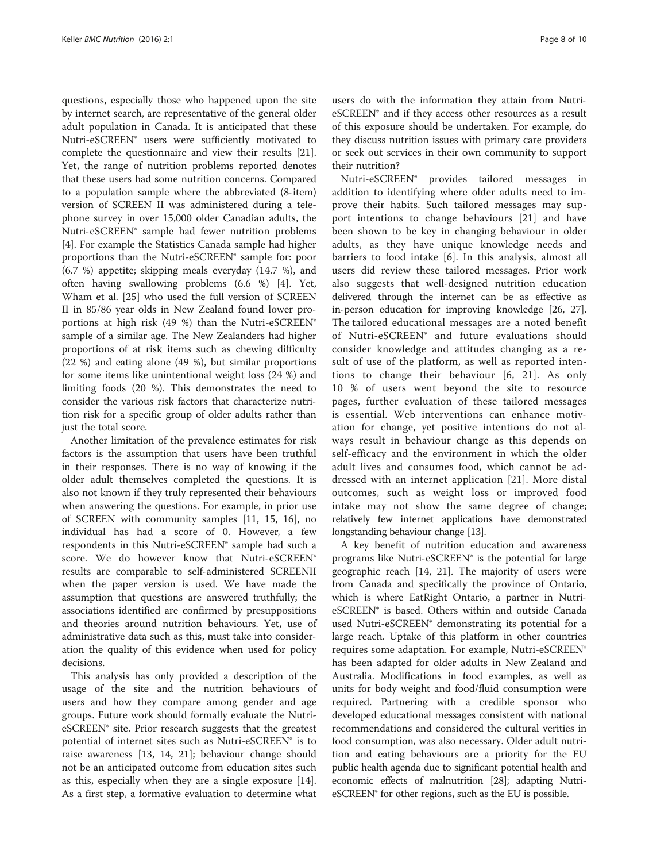questions, especially those who happened upon the site by internet search, are representative of the general older adult population in Canada. It is anticipated that these Nutri-eSCREEN® users were sufficiently motivated to complete the questionnaire and view their results [\[21](#page-8-0)]. Yet, the range of nutrition problems reported denotes that these users had some nutrition concerns. Compared to a population sample where the abbreviated (8-item) version of SCREEN II was administered during a telephone survey in over 15,000 older Canadian adults, the Nutri-eSCREEN® sample had fewer nutrition problems [[4\]](#page-8-0). For example the Statistics Canada sample had higher proportions than the Nutri-eSCREEN® sample for: poor (6.7 %) appetite; skipping meals everyday (14.7 %), and often having swallowing problems (6.6 %) [\[4](#page-8-0)]. Yet, Wham et al. [[25](#page-8-0)] who used the full version of SCREEN II in 85/86 year olds in New Zealand found lower proportions at high risk (49 %) than the Nutri-eSCREEN® sample of a similar age. The New Zealanders had higher proportions of at risk items such as chewing difficulty (22 %) and eating alone (49 %), but similar proportions for some items like unintentional weight loss (24 %) and limiting foods (20 %). This demonstrates the need to consider the various risk factors that characterize nutrition risk for a specific group of older adults rather than just the total score.

Another limitation of the prevalence estimates for risk factors is the assumption that users have been truthful in their responses. There is no way of knowing if the older adult themselves completed the questions. It is also not known if they truly represented their behaviours when answering the questions. For example, in prior use of SCREEN with community samples [[11, 15, 16\]](#page-8-0), no individual has had a score of 0. However, a few respondents in this Nutri-eSCREEN® sample had such a score. We do however know that Nutri-eSCREEN® results are comparable to self-administered SCREENII when the paper version is used. We have made the assumption that questions are answered truthfully; the associations identified are confirmed by presuppositions and theories around nutrition behaviours. Yet, use of administrative data such as this, must take into consideration the quality of this evidence when used for policy decisions.

This analysis has only provided a description of the usage of the site and the nutrition behaviours of users and how they compare among gender and age groups. Future work should formally evaluate the NutrieSCREEN® site. Prior research suggests that the greatest potential of internet sites such as Nutri-eSCREEN® is to raise awareness [[13, 14, 21\]](#page-8-0); behaviour change should not be an anticipated outcome from education sites such as this, especially when they are a single exposure [\[14](#page-8-0)]. As a first step, a formative evaluation to determine what

users do with the information they attain from NutrieSCREEN® and if they access other resources as a result of this exposure should be undertaken. For example, do they discuss nutrition issues with primary care providers or seek out services in their own community to support their nutrition?

Nutri-eSCREEN® provides tailored messages in addition to identifying where older adults need to improve their habits. Such tailored messages may support intentions to change behaviours [\[21](#page-8-0)] and have been shown to be key in changing behaviour in older adults, as they have unique knowledge needs and barriers to food intake [\[6](#page-8-0)]. In this analysis, almost all users did review these tailored messages. Prior work also suggests that well-designed nutrition education delivered through the internet can be as effective as in-person education for improving knowledge [[26](#page-9-0), [27](#page-9-0)]. The tailored educational messages are a noted benefit of Nutri-eSCREEN® and future evaluations should consider knowledge and attitudes changing as a result of use of the platform, as well as reported intentions to change their behaviour [[6, 21](#page-8-0)]. As only 10 % of users went beyond the site to resource pages, further evaluation of these tailored messages is essential. Web interventions can enhance motivation for change, yet positive intentions do not always result in behaviour change as this depends on self-efficacy and the environment in which the older adult lives and consumes food, which cannot be addressed with an internet application [[21](#page-8-0)]. More distal outcomes, such as weight loss or improved food intake may not show the same degree of change; relatively few internet applications have demonstrated longstanding behaviour change [\[13](#page-8-0)].

A key benefit of nutrition education and awareness programs like Nutri-eSCREEN® is the potential for large geographic reach [\[14, 21\]](#page-8-0). The majority of users were from Canada and specifically the province of Ontario, which is where EatRight Ontario, a partner in NutrieSCREEN® is based. Others within and outside Canada used Nutri-eSCREEN® demonstrating its potential for a large reach. Uptake of this platform in other countries requires some adaptation. For example, Nutri-eSCREEN® has been adapted for older adults in New Zealand and Australia. Modifications in food examples, as well as units for body weight and food/fluid consumption were required. Partnering with a credible sponsor who developed educational messages consistent with national recommendations and considered the cultural verities in food consumption, was also necessary. Older adult nutrition and eating behaviours are a priority for the EU public health agenda due to significant potential health and economic effects of malnutrition [\[28\]](#page-9-0); adapting NutrieSCREEN® for other regions, such as the EU is possible.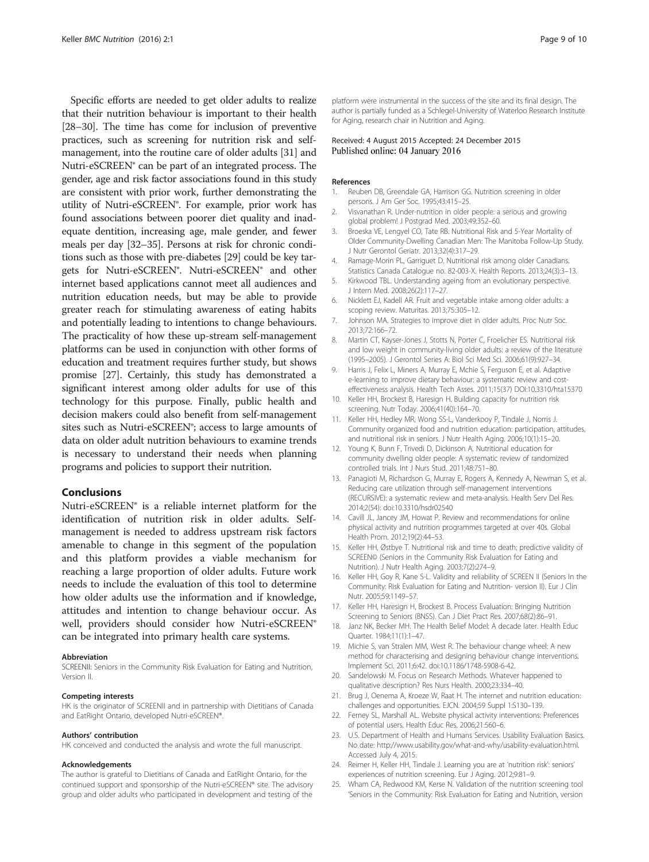<span id="page-8-0"></span>Specific efforts are needed to get older adults to realize that their nutrition behaviour is important to their health [[28](#page-9-0)–[30\]](#page-9-0). The time has come for inclusion of preventive practices, such as screening for nutrition risk and selfmanagement, into the routine care of older adults [\[31](#page-9-0)] and Nutri-eSCREEN® can be part of an integrated process. The gender, age and risk factor associations found in this study are consistent with prior work, further demonstrating the utility of Nutri-eSCREEN®. For example, prior work has found associations between poorer diet quality and inadequate dentition, increasing age, male gender, and fewer meals per day [[32](#page-9-0)–[35\]](#page-9-0). Persons at risk for chronic conditions such as those with pre-diabetes [\[29](#page-9-0)] could be key targets for Nutri-eSCREEN®. Nutri-eSCREEN® and other internet based applications cannot meet all audiences and nutrition education needs, but may be able to provide greater reach for stimulating awareness of eating habits and potentially leading to intentions to change behaviours. The practicality of how these up-stream self-management platforms can be used in conjunction with other forms of education and treatment requires further study, but shows promise [\[27\]](#page-9-0). Certainly, this study has demonstrated a significant interest among older adults for use of this technology for this purpose. Finally, public health and decision makers could also benefit from self-management sites such as Nutri-eSCREEN®; access to large amounts of data on older adult nutrition behaviours to examine trends is necessary to understand their needs when planning programs and policies to support their nutrition.

#### Conclusions

Nutri-eSCREEN® is a reliable internet platform for the identification of nutrition risk in older adults. Selfmanagement is needed to address upstream risk factors amenable to change in this segment of the population and this platform provides a viable mechanism for reaching a large proportion of older adults. Future work needs to include the evaluation of this tool to determine how older adults use the information and if knowledge, attitudes and intention to change behaviour occur. As well, providers should consider how Nutri-eSCREEN® can be integrated into primary health care systems.

#### Abbreviation

SCREENII: Seniors in the Community Risk Evaluation for Eating and Nutrition, Version II.

#### Competing interests

HK is the originator of SCREENII and in partnership with Dietitians of Canada and EatRight Ontario, developed Nutri-eSCREEN®.

#### Authors' contribution

HK conceived and conducted the analysis and wrote the full manuscript.

#### Acknowledgements

The author is grateful to Dietitians of Canada and EatRight Ontario, for the continued support and sponsorship of the Nutri-eSCREEN® site. The advisory group and older adults who participated in development and testing of the platform were instrumental in the success of the site and its final design. The author is partially funded as a Schlegel-University of Waterloo Research Institute for Aging, research chair in Nutrition and Aging.

#### Received: 4 August 2015 Accepted: 24 December 2015 Published online: 04 January 2016

#### References

- 1. Reuben DB, Greendale GA, Harrison GG. Nutrition screening in older persons. J Am Ger Soc. 1995;43:415–25.
- 2. Visvanathan R. Under-nutrition in older people: a serious and growing global problem! J Postgrad Med. 2003;49:352–60.
- 3. Broeska VE, Lengyel CO, Tate RB. Nutritional Risk and 5-Year Mortality of Older Community-Dwelling Canadian Men: The Manitoba Follow-Up Study. J Nutr Gerontol Geriatr. 2013;32(4):317–29.
- 4. Ramage-Morin PL, Garriguet D. Nutritional risk among older Canadians. Statistics Canada Catalogue no. 82-003-X. Health Reports. 2013;24(3):3–13.
- 5. Kirkwood TBL. Understanding ageing from an evolutionary perspective. J Intern Med. 2008;26(2):117–27.
- 6. Nicklett EJ, Kadell AR. Fruit and vegetable intake among older adults: a scoping review. Maturitas. 2013;75:305–12.
- 7. Johnson MA. Strategies to improve diet in older adults. Proc Nutr Soc. 2013;72:166–72.
- 8. Martin CT, Kayser-Jones J, Stotts N, Porter C, Froelicher ES. Nutritional risk and low weight in community-living older adults: a review of the literature (1995–2005). J Gerontol Series A: Biol Sci Med Sci. 2006;61(9):927–34.
- 9. Harris J, Felix L, Miners A, Murray E, Mchie S, Ferguson E, et al. Adaptive e-learning to improve dietary behaviour: a systematic review and costeffectiveness analysis. Health Tech Asses. 2011;15(37) DOI[:10.3310/hta15370](http://dx.doi.org/10.3310/hta15370)
- 10. Keller HH, Brockest B, Haresign H. Building capacity for nutrition risk screening. Nutr Today. 2006;41(40):164–70.
- 11. Keller HH, Hedley MR, Wong SS-L, Vanderkooy P, Tindale J, Norris J. Community organized food and nutrition education: participation, attitudes, and nutritional risk in seniors. J Nutr Health Aging. 2006;10(1):15–20.
- 12. Young K, Bunn F, Trivedi D, Dickinson A, Nutritional education for community dwelling older people: A systematic review of randomized controlled trials. Int J Nurs Stud. 2011;48:751–80.
- 13. Panagioti M, Richardson G, Murray E, Rogers A, Kennedy A, Newman S, et al. Reducing care utilization through self-management interventions (RECURSIVE): a systematic review and meta-analysis. Health Serv Del Res. 2014;2(54): doi[:10.3310/hsdr02540](http://dx.doi.org/10.3310/hsdr02540)
- 14. Cavill JL, Jancey JM, Howat P. Review and recommendations for online physical activity and nutrition programmes targeted at over 40s. Global Health Prom. 2012;19(2):44–53.
- 15. Keller HH, Østbye T. Nutritional risk and time to death; predictive validity of SCREEN© (Seniors in the Community Risk Evaluation for Eating and Nutrition). J Nutr Health Aging. 2003;7(2):274–9.
- 16. Keller HH, Goy R, Kane S-L. Validity and reliability of SCREEN II (Seniors In the Community: Risk Evaluation for Eating and Nutrition- version II). Eur J Clin Nutr. 2005;59:1149–57.
- 17. Keller HH, Haresign H, Brockest B. Process Evaluation: Bringing Nutrition Screening to Seniors (BNSS). Can J Diet Pract Res. 2007;68(2):86–91.
- 18. Janz NK, Becker MH. The Health Belief Model: A decade later. Health Educ Quarter. 1984;11(1):1–47.
- 19. Michie S, van Stralen MM, West R. The behaviour change wheel: A new method for characterising and designing behaviour change interventions. Implement Sci. 2011;6:42. doi[:10.1186/1748-5908-6-42.](http://dx.doi.org/10.1186/1748-5908-6-42)
- 20. Sandelowski M. Focus on Research Methods. Whatever happened to qualitative description? Res Nurs Health. 2000;23:334–40.
- 21. Brug J, Oenema A, Kroeze W, Raat H. The internet and nutrition education: challenges and opportunities. EJCN. 2004;59 Suppl 1:S130–139.
- 22. Ferney SL, Marshall AL. Website physical activity interventions: Preferences of potential users. Health Educ Res. 2006;21:560–6.
- 23. U.S. Department of Health and Humans Services. Usability Evaluation Basics. No date: [http://www.usability.gov/what-and-why/usability-evaluation.html.](http://www.usability.gov/what-and-why/usability-evaluation.html) Accessed July 4, 2015.
- 24. Reimer H, Keller HH, Tindale J. Learning you are at 'nutrition risk': seniors' experiences of nutrition screening. Eur J Aging. 2012;9:81–9.
- 25. Wham CA, Redwood KM, Kerse N. Validation of the nutrition screening tool 'Seniors in the Community: Risk Evaluation for Eating and Nutrition, version